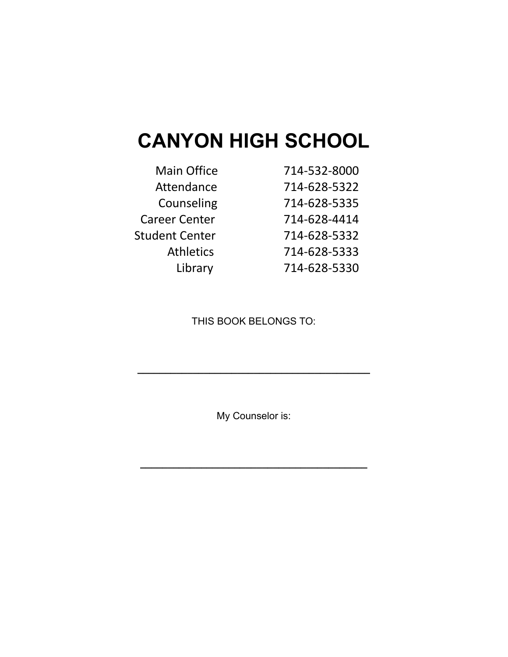# **CANYON HIGH SCHOOL**

| <b>Main Office</b>    | 714-532-8000 |
|-----------------------|--------------|
| Attendance            | 714-628-5322 |
| Counseling            | 714-628-5335 |
| <b>Career Center</b>  | 714-628-4414 |
| <b>Student Center</b> | 714-628-5332 |
| <b>Athletics</b>      | 714-628-5333 |
| Library               | 714-628-5330 |

THIS BOOK BELONGS TO:

**\_\_\_\_\_\_\_\_\_\_\_\_\_\_\_\_\_\_\_\_\_\_\_\_\_\_\_\_\_\_\_\_\_\_\_\_\_\_\_\_\_\_**

My Counselor is:

**\_\_\_\_\_\_\_\_\_\_\_\_\_\_\_\_\_\_\_\_\_\_\_\_\_\_\_\_\_\_\_\_\_\_\_\_\_\_\_\_\_**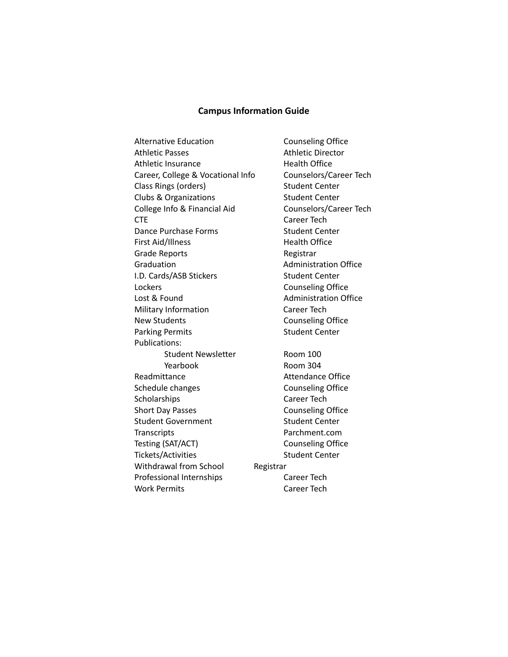## **Campus Information Guide**

Alternative Education Counseling Office Athletic Passes **Athletic Director** Athletic Insurance Health Office Career, College & Vocational Info Counselors/Career Tech Class Rings (orders) Student Center Clubs & Organizations Student Center College Info & Financial Aid Counselors/Career Tech CTE Career Tech Dance Purchase Forms Student Center First Aid/Illness Health Office Grade Reports **Registrar** Graduation **Administration Office** I.D. Cards/ASB Stickers Student Center Lockers Counseling Office Lost & Found **Administration Office** Military Information Career Tech New Students **Counseling Office** Parking Permits Student Center Publications: Student Newsletter Room 100 Yearbook Room 304 Readmittance **Attendance Office** Schedule changes Counseling Office Scholarships Career Tech Short Day Passes Counseling Office Student Government Student Center Transcripts **Parchment.com** Testing (SAT/ACT) Counseling Office Tickets/Activities Student Center Withdrawal from School Registrar Professional Internships Career Tech Work Permits **Career Tech**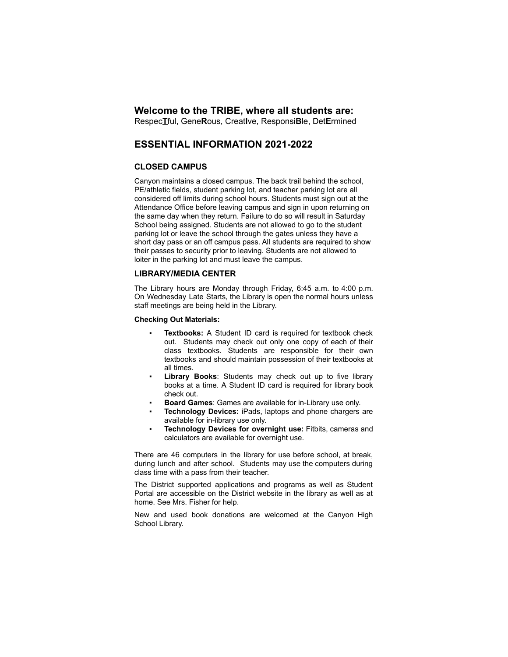#### **Welcome to the TRIBE, where all students are:**

Respec**T**ful, Gene**R**ous, Creat**I**ve, Responsi**B**le, Det**E**rmined

## **ESSENTIAL INFORMATION 2021-2022**

#### **CLOSED CAMPUS**

Canyon maintains a closed campus. The back trail behind the school, PE/athletic fields, student parking lot, and teacher parking lot are all considered off limits during school hours. Students must sign out at the Attendance Office before leaving campus and sign in upon returning on the same day when they return. Failure to do so will result in Saturday School being assigned. Students are not allowed to go to the student parking lot or leave the school through the gates unless they have a short day pass or an off campus pass. All students are required to show their passes to security prior to leaving. Students are not allowed to loiter in the parking lot and must leave the campus.

#### **LIBRARY/MEDIA CENTER**

The Library hours are Monday through Friday, 6:45 a.m. to 4:00 p.m. On Wednesday Late Starts, the Library is open the normal hours unless staff meetings are being held in the Library.

#### **Checking Out Materials:**

- **Textbooks:** A Student ID card is required for textbook check out. Students may check out only one copy of each of their class textbooks. Students are responsible for their own textbooks and should maintain possession of their textbooks at all times.
- **Library Books:** Students may check out up to five library books at a time. A Student ID card is required for library book check out.
- **Board Games:** Games are available for in-Library use only.
- **Technology Devices:** iPads, laptops and phone chargers are available for in-library use only.
- **Technology Devices for overnight use:** Fitbits, cameras and calculators are available for overnight use.

There are 46 computers in the library for use before school, at break, during lunch and after school. Students may use the computers during class time with a pass from their teacher.

The District supported applications and programs as well as Student Portal are accessible on the District website in the library as well as at home. See Mrs. Fisher for help.

New and used book donations are welcomed at the Canyon High School Library.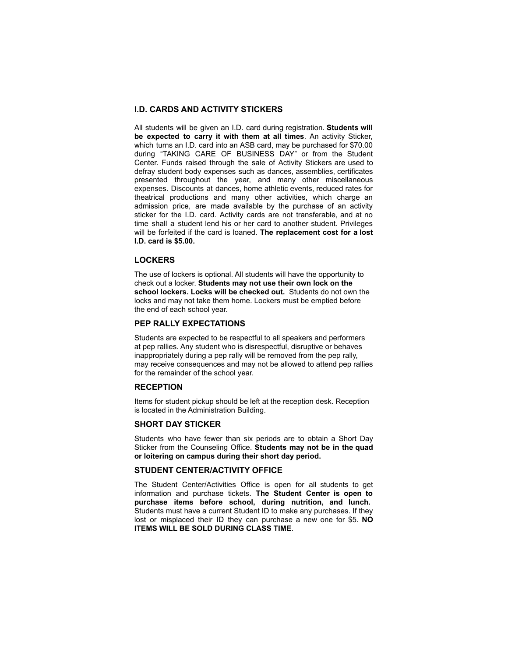#### **I.D. CARDS AND ACTIVITY STICKERS**

All students will be given an I.D. card during registration. **Students will be expected to carry it with them at all times**. An activity Sticker, which turns an I.D. card into an ASB card, may be purchased for \$70.00 during "TAKING CARE OF BUSINESS DAY" or from the Student Center. Funds raised through the sale of Activity Stickers are used to defray student body expenses such as dances, assemblies, certificates presented throughout the year, and many other miscellaneous expenses. Discounts at dances, home athletic events, reduced rates for theatrical productions and many other activities, which charge an admission price, are made available by the purchase of an activity sticker for the I.D. card. Activity cards are not transferable, and at no time shall a student lend his or her card to another student. Privileges will be forfeited if the card is loaned. **The replacement cost for a lost I.D. card is \$5.00.**

#### **LOCKERS**

The use of lockers is optional. All students will have the opportunity to check out a locker. **Students may not use their own lock on the school lockers. Locks will be checked out.** Students do not own the locks and may not take them home. Lockers must be emptied before the end of each school year.

#### **PEP RALLY EXPECTATIONS**

Students are expected to be respectful to all speakers and performers at pep rallies. Any student who is disrespectful, disruptive or behaves inappropriately during a pep rally will be removed from the pep rally, may receive consequences and may not be allowed to attend pep rallies for the remainder of the school year.

#### **RECEPTION**

Items for student pickup should be left at the reception desk. Reception is located in the Administration Building.

#### **SHORT DAY STICKER**

Students who have fewer than six periods are to obtain a Short Day Sticker from the Counseling Office. **Students may not be in the quad or loitering on campus during their short day period.**

#### **STUDENT CENTER/ACTIVITY OFFICE**

The Student Center/Activities Office is open for all students to get information and purchase tickets. **The Student Center is open to purchase items before school, during nutrition, and lunch.** Students must have a current Student ID to make any purchases. If they lost or misplaced their ID they can purchase a new one for \$5. **NO ITEMS WILL BE SOLD DURING CLASS TIME**.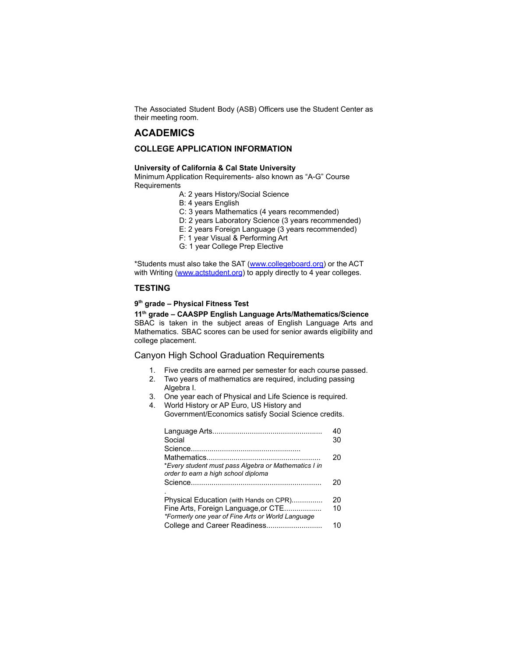The Associated Student Body (ASB) Officers use the Student Center as their meeting room.

## **ACADEMICS**

#### **COLLEGE APPLICATION INFORMATION**

#### **University of California & Cal State University**

Minimum Application Requirements- also known as "A-G" Course Requirements

- A: 2 years History/Social Science
- B: 4 years English
- C: 3 years Mathematics (4 years recommended)
- D: 2 years Laboratory Science (3 years recommended)
- E: 2 years Foreign Language (3 years recommended)
- F: 1 year Visual & Performing Art
- G: 1 year College Prep Elective

\*Students must also take the SAT [\(www.collegeboard.org\)](http://www.collegeboard.org) or the ACT with Writing ([www.actstudent.org](http://www.actstudent.org)) to apply directly to 4 year colleges.

#### **TESTING**

#### **9 th grade – Physical Fitness Test**

**11 th grade – CAASPP English Language Arts/Mathematics/Science** SBAC is taken in the subject areas of English Language Arts and Mathematics. SBAC scores can be used for senior awards eligibility and college placement.

#### Canyon High School Graduation Requirements

- 1. Five credits are earned per semester for each course passed.
- 2. Two years of mathematics are required, including passing Algebra I.
- 3. One year each of Physical and Life Science is required.
- 4. World History or AP Euro, US History and Government/Economics satisfy Social Science credits.

| Social                                                                                                                             | 40<br>30 |
|------------------------------------------------------------------------------------------------------------------------------------|----------|
| *Every student must pass Algebra or Mathematics I in<br>order to earn a high school diploma                                        | 20       |
|                                                                                                                                    | 20       |
| Physical Education (with Hands on CPR)<br>Fine Arts, Foreign Language, or CTE<br>*Formerly one year of Fine Arts or World Language | 20<br>10 |
| College and Career Readiness                                                                                                       | 10       |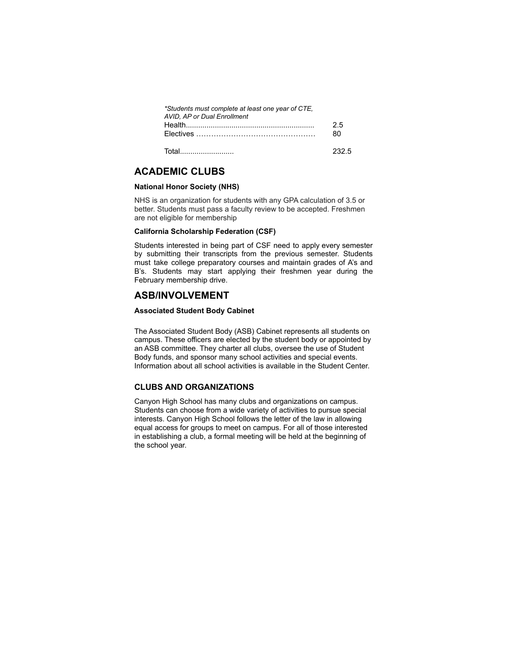| *Students must complete at least one year of CTE.<br><b>AVID. AP or Dual Enrollment</b> |            |
|-----------------------------------------------------------------------------------------|------------|
|                                                                                         | -2.5<br>80 |
| Total                                                                                   | 232.5      |

## **ACADEMIC CLUBS**

#### **National Honor Society (NHS)**

NHS is an organization for students with any GPA calculation of 3.5 or better. Students must pass a faculty review to be accepted. Freshmen are not eligible for membership

#### **California Scholarship Federation (CSF)**

Students interested in being part of CSF need to apply every semester by submitting their transcripts from the previous semester. Students must take college preparatory courses and maintain grades of A's and B's. Students may start applying their freshmen year during the February membership drive.

#### **ASB/INVOLVEMENT**

#### **Associated Student Body Cabinet**

The Associated Student Body (ASB) Cabinet represents all students on campus. These officers are elected by the student body or appointed by an ASB committee. They charter all clubs, oversee the use of Student Body funds, and sponsor many school activities and special events. Information about all school activities is available in the Student Center.

#### **CLUBS AND ORGANIZATIONS**

Canyon High School has many clubs and organizations on campus. Students can choose from a wide variety of activities to pursue special interests. Canyon High School follows the letter of the law in allowing equal access for groups to meet on campus. For all of those interested in establishing a club, a formal meeting will be held at the beginning of the school year.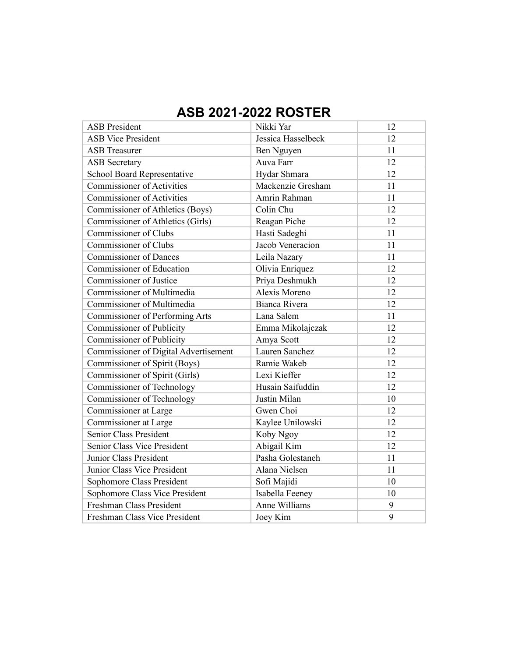## **ASB 2021-2022 ROSTER**

| <b>ASB</b> President                   | Nikki Yar            | 12 |
|----------------------------------------|----------------------|----|
| <b>ASB Vice President</b>              | Jessica Hasselbeck   | 12 |
| <b>ASB</b> Treasurer                   | Ben Nguyen           | 11 |
| <b>ASB</b> Secretary                   | Auva Farr            | 12 |
| School Board Representative            | Hydar Shmara         | 12 |
| <b>Commissioner of Activities</b>      | Mackenzie Gresham    | 11 |
| <b>Commissioner of Activities</b>      | Amrin Rahman         | 11 |
| Commissioner of Athletics (Boys)       | Colin Chu            | 12 |
| Commissioner of Athletics (Girls)      | Reagan Piche         | 12 |
| <b>Commissioner of Clubs</b>           | Hasti Sadeghi        | 11 |
| <b>Commissioner of Clubs</b>           | Jacob Veneracion     | 11 |
| <b>Commissioner of Dances</b>          | Leila Nazary         | 11 |
| Commissioner of Education              | Olivia Enriquez      | 12 |
| Commissioner of Justice                | Priya Deshmukh       | 12 |
| Commissioner of Multimedia             | Alexis Moreno        | 12 |
| Commissioner of Multimedia             | <b>Bianca Rivera</b> | 12 |
| <b>Commissioner of Performing Arts</b> | Lana Salem           | 11 |
| Commissioner of Publicity              | Emma Mikolajczak     | 12 |
| Commissioner of Publicity              | Amya Scott           | 12 |
| Commissioner of Digital Advertisement  | Lauren Sanchez       | 12 |
| Commissioner of Spirit (Boys)          | Ramie Wakeb          | 12 |
| Commissioner of Spirit (Girls)         | Lexi Kieffer         | 12 |
| Commissioner of Technology             | Husain Saifuddin     | 12 |
| Commissioner of Technology             | Justin Milan         | 10 |
| Commissioner at Large                  | Gwen Choi            | 12 |
| Commissioner at Large                  | Kaylee Unilowski     | 12 |
| Senior Class President                 | Koby Ngoy            | 12 |
| Senior Class Vice President            | Abigail Kim          | 12 |
| Junior Class President                 | Pasha Golestaneh     | 11 |
| Junior Class Vice President            | Alana Nielsen        | 11 |
| Sophomore Class President              | Sofi Majidi          | 10 |
| Sophomore Class Vice President         | Isabella Feeney      | 10 |
| Freshman Class President               | Anne Williams        | 9  |
| Freshman Class Vice President          | Joey Kim             | 9  |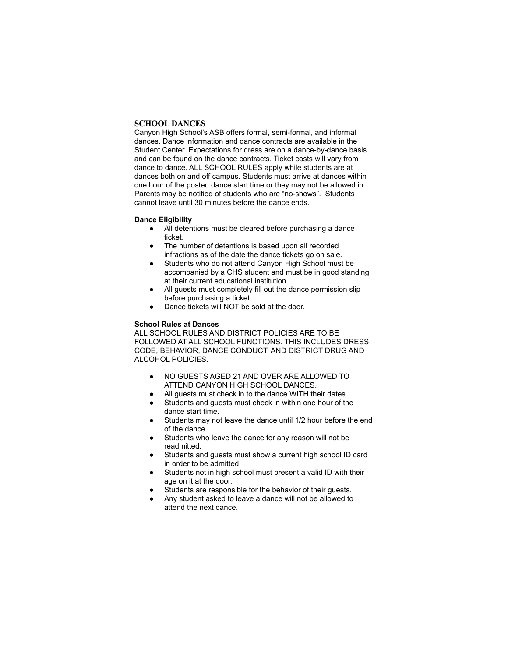#### **SCHOOL DANCES**

Canyon High School's ASB offers formal, semi-formal, and informal dances. Dance information and dance contracts are available in the Student Center. Expectations for dress are on a dance-by-dance basis and can be found on the dance contracts. Ticket costs will vary from dance to dance. ALL SCHOOL RULES apply while students are at dances both on and off campus. Students must arrive at dances within one hour of the posted dance start time or they may not be allowed in. Parents may be notified of students who are "no-shows". Students cannot leave until 30 minutes before the dance ends.

#### **Dance Eligibility**

- All detentions must be cleared before purchasing a dance ticket.
- The number of detentions is based upon all recorded infractions as of the date the dance tickets go on sale.
- Students who do not attend Canyon High School must be accompanied by a CHS student and must be in good standing at their current educational institution.
- All guests must completely fill out the dance permission slip before purchasing a ticket.
- Dance tickets will NOT be sold at the door.

#### **School Rules at Dances**

ALL SCHOOL RULES AND DISTRICT POLICIES ARE TO BE FOLLOWED AT ALL SCHOOL FUNCTIONS. THIS INCLUDES DRESS CODE, BEHAVIOR, DANCE CONDUCT, AND DISTRICT DRUG AND ALCOHOL POLICIES.

- NO GUESTS AGED 21 AND OVER ARE ALLOWED TO ATTEND CANYON HIGH SCHOOL DANCES.
- All guests must check in to the dance WITH their dates.
- Students and guests must check in within one hour of the dance start time.
- Students may not leave the dance until 1/2 hour before the end of the dance.
- Students who leave the dance for any reason will not be readmitted.
- Students and guests must show a current high school ID card in order to be admitted.
- Students not in high school must present a valid ID with their age on it at the door.
- Students are responsible for the behavior of their guests.
- Any student asked to leave a dance will not be allowed to attend the next dance.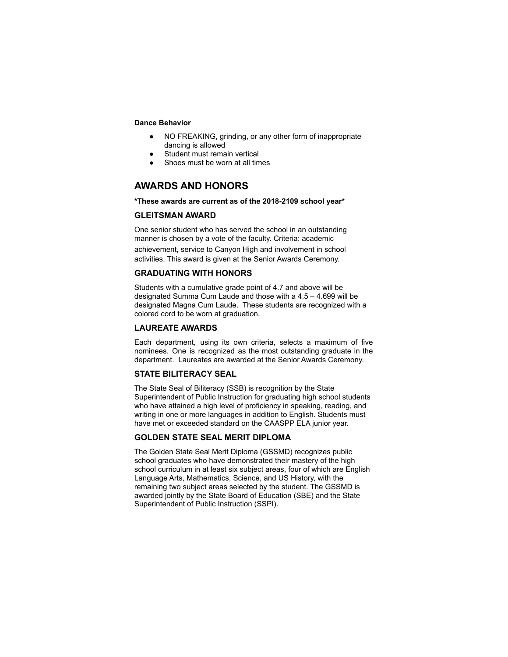#### **Dance Behavior**

- NO FREAKING, grinding, or any other form of inappropriate dancing is allowed
- Student must remain vertical
- Shoes must be worn at all times

## **AWARDS AND HONORS**

**\*These awards are current as of the 2018-2109 school year\***

#### **GLEITSMAN AWARD**

One senior student who has served the school in an outstanding manner is chosen by a vote of the faculty. Criteria: academic achievement, service to Canyon High and involvement in school activities. This award is given at the Senior Awards Ceremony.

#### **GRADUATING WITH HONORS**

Students with a cumulative grade point of 4.7 and above will be designated Summa Cum Laude and those with a 4.5 – 4.699 will be designated Magna Cum Laude. These students are recognized with a colored cord to be worn at graduation.

#### **LAUREATE AWARDS**

Each department, using its own criteria, selects a maximum of five nominees. One is recognized as the most outstanding graduate in the department. Laureates are awarded at the Senior Awards Ceremony.

#### **STATE BILITERACY SEAL**

The State Seal of Biliteracy (SSB) is recognition by the State Superintendent of Public Instruction for graduating high school students who have attained a high level of proficiency in speaking, reading, and writing in one or more languages in addition to English. Students must have met or exceeded standard on the CAASPP ELA junior year.

#### **GOLDEN STATE SEAL MERIT DIPLOMA**

The Golden State Seal Merit Diploma (GSSMD) recognizes public school graduates who have demonstrated their mastery of the high school curriculum in at least six subject areas, four of which are English Language Arts, Mathematics, Science, and US History, with the remaining two subject areas selected by the student. The GSSMD is awarded jointly by the State Board of Education (SBE) and the State Superintendent of Public Instruction (SSPI).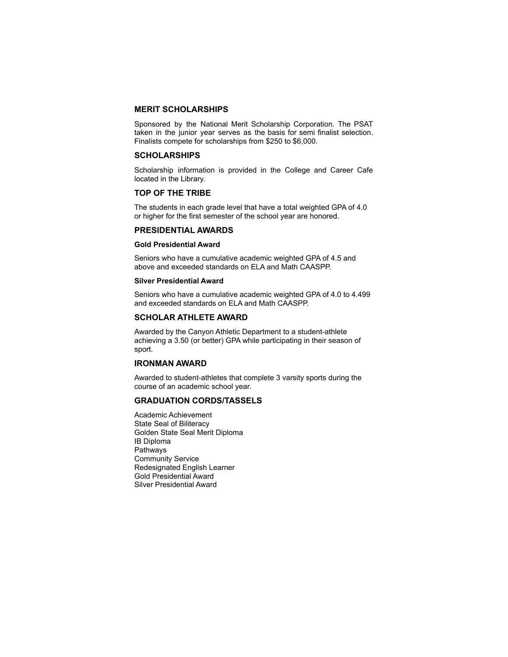#### **MERIT SCHOLARSHIPS**

Sponsored by the National Merit Scholarship Corporation. The PSAT taken in the junior year serves as the basis for semi finalist selection. Finalists compete for scholarships from \$250 to \$6,000.

#### **SCHOLARSHIPS**

Scholarship information is provided in the College and Career Cafe located in the Library.

#### **TOP OF THE TRIBE**

The students in each grade level that have a total weighted GPA of 4.0 or higher for the first semester of the school year are honored.

#### **PRESIDENTIAL AWARDS**

#### **Gold Presidential Award**

Seniors who have a cumulative academic weighted GPA of 4.5 and above and exceeded standards on ELA and Math CAASPP.

#### **Silver Presidential Award**

Seniors who have a cumulative academic weighted GPA of 4.0 to 4.499 and exceeded standards on ELA and Math CAASPP.

#### **SCHOLAR ATHLETE AWARD**

Awarded by the Canyon Athletic Department to a student-athlete achieving a 3.50 (or better) GPA while participating in their season of sport.

#### **IRONMAN AWARD**

Awarded to student-athletes that complete 3 varsity sports during the course of an academic school year.

## **GRADUATION CORDS/TASSELS**

Academic Achievement State Seal of Biliteracy Golden State Seal Merit Diploma IB Diploma Pathways Community Service Redesignated English Learner Gold Presidential Award Silver Presidential Award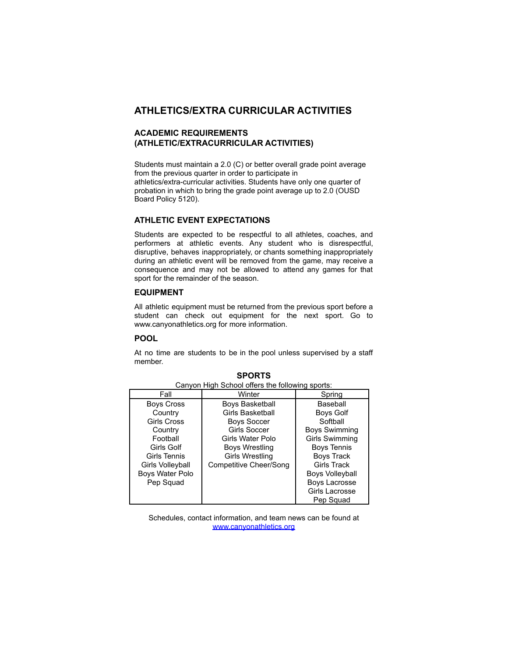## **ATHLETICS/EXTRA CURRICULAR ACTIVITIES**

## **ACADEMIC REQUIREMENTS (ATHLETIC/EXTRACURRICULAR ACTIVITIES)**

Students must maintain a 2.0 (C) or better overall grade point average from the previous quarter in order to participate in athletics/extra-curricular activities. Students have only one quarter of probation in which to bring the grade point average up to 2.0 (OUSD Board Policy 5120).

#### **ATHLETIC EVENT EXPECTATIONS**

Students are expected to be respectful to all athletes, coaches, and performers at athletic events. Any student who is disrespectful, disruptive, behaves inappropriately, or chants something inappropriately during an athletic event will be removed from the game, may receive a consequence and may not be allowed to attend any games for that sport for the remainder of the season.

#### **EQUIPMENT**

All athletic equipment must be returned from the previous sport before a student can check out equipment for the next sport. Go to www.canyonathletics.org for more information.

#### **POOL**

At no time are students to be in the pool unless supervised by a staff member.

| Canyon High School offers the following sports: |                        |                        |  |  |
|-------------------------------------------------|------------------------|------------------------|--|--|
| Fall                                            | Winter                 | Spring                 |  |  |
| <b>Boys Cross</b>                               | <b>Boys Basketball</b> | Baseball               |  |  |
| Country                                         | Girls Basketball       | <b>Boys Golf</b>       |  |  |
| Girls Cross                                     | <b>Boys Soccer</b>     | Softball               |  |  |
| Country                                         | Girls Soccer           | <b>Boys Swimming</b>   |  |  |
| Football                                        | Girls Water Polo       | <b>Girls Swimming</b>  |  |  |
| Girls Golf                                      | <b>Boys Wrestling</b>  | <b>Boys Tennis</b>     |  |  |
| Girls Tennis                                    | <b>Girls Wrestling</b> | Boys Track             |  |  |
| Girls Volleyball                                | Competitive Cheer/Song | Girls Track            |  |  |
| Boys Water Polo                                 |                        | <b>Boys Volleyball</b> |  |  |
| Pep Squad                                       |                        | Boys Lacrosse          |  |  |
|                                                 |                        | Girls Lacrosse         |  |  |
|                                                 |                        | Pep Squad              |  |  |

**SPORTS**

Schedules, contact information, and team news can be found at [www.canyonathletics.org](http://www.canyonathletics.org/)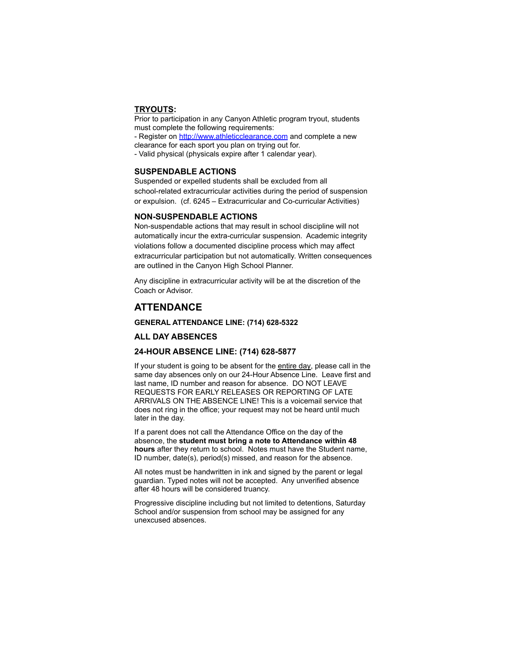#### **TRYOUTS:**

Prior to participation in any Canyon Athletic program tryout, students must complete the following requirements:

- Register on <http://www.athleticclearance.com> and complete a new clearance for each sport you plan on trying out for.

- Valid physical (physicals expire after 1 calendar year).

#### **SUSPENDABLE ACTIONS**

Suspended or expelled students shall be excluded from all school-related extracurricular activities during the period of suspension or expulsion. (cf. 6245 – Extracurricular and Co-curricular Activities)

#### **NON-SUSPENDABLE ACTIONS**

Non-suspendable actions that may result in school discipline will not automatically incur the extra-curricular suspension. Academic integrity violations follow a documented discipline process which may affect extracurricular participation but not automatically. Written consequences are outlined in the Canyon High School Planner.

Any discipline in extracurricular activity will be at the discretion of the Coach or Advisor.

## **ATTENDANCE**

#### **GENERAL ATTENDANCE LINE: (714) 628-5322**

#### **ALL DAY ABSENCES**

#### **24-HOUR ABSENCE LINE: (714) 628-5877**

If your student is going to be absent for the entire day, please call in the same day absences only on our 24-Hour Absence Line. Leave first and last name, ID number and reason for absence. DO NOT LEAVE REQUESTS FOR EARLY RELEASES OR REPORTING OF LATE ARRIVALS ON THE ABSENCE LINE! This is a voicemail service that does not ring in the office; your request may not be heard until much later in the day.

If a parent does not call the Attendance Office on the day of the absence, the **student must bring a note to Attendance within 48 hours** after they return to school. Notes must have the Student name, ID number, date(s), period(s) missed, and reason for the absence.

All notes must be handwritten in ink and signed by the parent or legal guardian. Typed notes will not be accepted. Any unverified absence after 48 hours will be considered truancy.

Progressive discipline including but not limited to detentions, Saturday School and/or suspension from school may be assigned for any unexcused absences.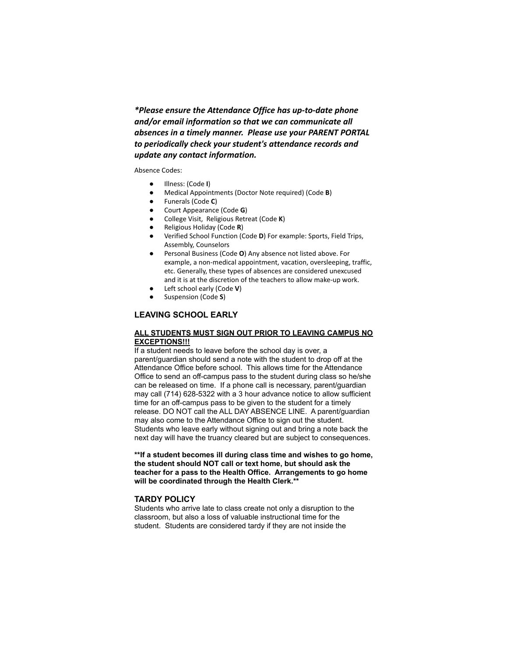*\*Please ensure the Attendance Office has up-to-date phone and/or email information so that we can communicate all absences in a timely manner. Please use your PARENT PORTAL to periodically check your student's attendance records and update any contact information.*

#### Absence Codes:

- Illness: (Code **I**)
- Medical Appointments (Doctor Note required) (Code **B**)
- Funerals (Code **C**)
- Court Appearance (Code **G**)
- College Visit, Religious Retreat (Code **K**)
- Religious Holiday (Code **R**)
- Verified School Function (Code D) For example: Sports, Field Trips, Assembly, Counselors
- Personal Business (Code O) Any absence not listed above. For example, a non-medical appointment, vacation, oversleeping, traffic, etc. Generally, these types of absences are considered unexcused and it is at the discretion of the teachers to allow make-up work.
- Left school early (Code **V**)
- Suspension (Code **S**)

#### **LEAVING SCHOOL EARLY**

#### **ALL STUDENTS MUST SIGN OUT PRIOR TO LEAVING CAMPUS NO EXCEPTIONS!!!**

If a student needs to leave before the school day is over, a parent/guardian should send a note with the student to drop off at the Attendance Office before school. This allows time for the Attendance Office to send an off-campus pass to the student during class so he/she can be released on time. If a phone call is necessary, parent/guardian may call (714) 628-5322 with a 3 hour advance notice to allow sufficient time for an off-campus pass to be given to the student for a timely release. DO NOT call the ALL DAY ABSENCE LINE. A parent/guardian may also come to the Attendance Office to sign out the student. Students who leave early without signing out and bring a note back the next day will have the truancy cleared but are subject to consequences.

**\*\*If a student becomes ill during class time and wishes to go home, the student should NOT call or text home, but should ask the teacher for a pass to the Health Office. Arrangements to go home will be coordinated through the Health Clerk.\*\***

#### **TARDY POLICY**

Students who arrive late to class create not only a disruption to the classroom, but also a loss of valuable instructional time for the student. Students are considered tardy if they are not inside the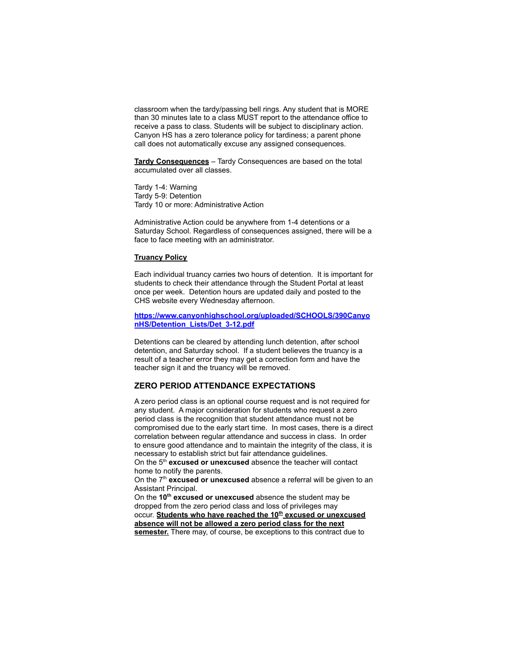classroom when the tardy/passing bell rings. Any student that is MORE than 30 minutes late to a class MUST report to the attendance office to receive a pass to class. Students will be subject to disciplinary action. Canyon HS has a zero tolerance policy for tardiness; a parent phone call does not automatically excuse any assigned consequences.

**Tardy Consequences** – Tardy Consequences are based on the total accumulated over all classes.

Tardy 1-4: Warning Tardy 5-9: Detention Tardy 10 or more: Administrative Action

Administrative Action could be anywhere from 1-4 detentions or a Saturday School. Regardless of consequences assigned, there will be a face to face meeting with an administrator.

#### **Truancy Policy**

Each individual truancy carries two hours of detention. It is important for students to check their attendance through the Student Portal at least once per week. Detention hours are updated daily and posted to the CHS website every Wednesday afternoon.

**[https://www.canyonhighschool.org/uploaded/SCHOOLS/390Canyo](https://www.canyonhighschool.org/uploaded/SCHOOLS/390CanyonHS/Detention_Lists/Det_3-12.pdf) [nHS/Detention\\_Lists/Det\\_3-12.pdf](https://www.canyonhighschool.org/uploaded/SCHOOLS/390CanyonHS/Detention_Lists/Det_3-12.pdf)**

Detentions can be cleared by attending lunch detention, after school detention, and Saturday school. If a student believes the truancy is a result of a teacher error they may get a correction form and have the teacher sign it and the truancy will be removed.

#### **ZERO PERIOD ATTENDANCE EXPECTATIONS**

A zero period class is an optional course request and is not required for any student. A major consideration for students who request a zero period class is the recognition that student attendance must not be compromised due to the early start time. In most cases, there is a direct correlation between regular attendance and success in class. In order to ensure good attendance and to maintain the integrity of the class, it is necessary to establish strict but fair attendance guidelines.

On the 5<sup>th</sup> excused or unexcused absence the teacher will contact home to notify the parents.

On the 7<sup>th</sup> excused or unexcused absence a referral will be given to an Assistant Principal.

On the **10th excused or unexcused** absence the student may be dropped from the zero period class and loss of privileges may occur. **Students who have reached the 10th excused or unexcused absence will not be allowed a zero period class for the next semester.** There may, of course, be exceptions to this contract due to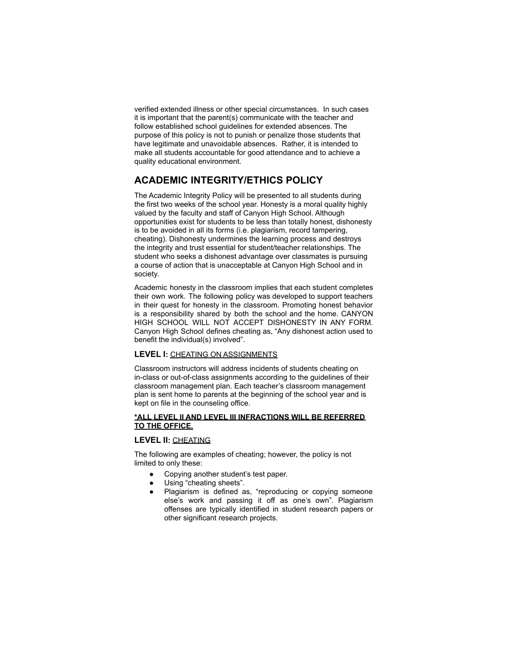verified extended illness or other special circumstances. In such cases it is important that the parent(s) communicate with the teacher and follow established school guidelines for extended absences. The purpose of this policy is not to punish or penalize those students that have legitimate and unavoidable absences. Rather, it is intended to make all students accountable for good attendance and to achieve a quality educational environment.

## **ACADEMIC INTEGRITY/ETHICS POLICY**

The Academic Integrity Policy will be presented to all students during the first two weeks of the school year. Honesty is a moral quality highly valued by the faculty and staff of Canyon High School. Although opportunities exist for students to be less than totally honest, dishonesty is to be avoided in all its forms (i.e. plagiarism, record tampering, cheating). Dishonesty undermines the learning process and destroys the integrity and trust essential for student/teacher relationships. The student who seeks a dishonest advantage over classmates is pursuing a course of action that is unacceptable at Canyon High School and in society.

Academic honesty in the classroom implies that each student completes their own work. The following policy was developed to support teachers in their quest for honesty in the classroom. Promoting honest behavior is a responsibility shared by both the school and the home. CANYON HIGH SCHOOL WILL NOT ACCEPT DISHONESTY IN ANY FORM. Canyon High School defines cheating as, "Any dishonest action used to benefit the individual(s) involved".

#### **LEVEL I:** CHEATING ON ASSIGNMENTS

Classroom instructors will address incidents of students cheating on in-class or out-of-class assignments according to the guidelines of their classroom management plan. Each teacher's classroom management plan is sent home to parents at the beginning of the school year and is kept on file in the counseling office.

#### **\*ALL LEVEL II AND LEVEL III INFRACTIONS WILL BE REFERRED TO THE OFFICE.**

#### **LEVEL II:** CHEATING

The following are examples of cheating; however, the policy is not limited to only these:

- Copying another student's test paper.
- Using "cheating sheets".
- Plagiarism is defined as, "reproducing or copying someone else's work and passing it off as one's own". Plagiarism offenses are typically identified in student research papers or other significant research projects.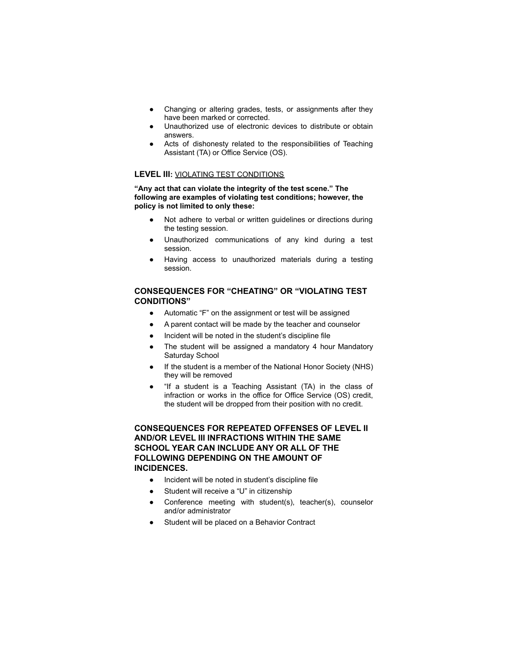- Changing or altering grades, tests, or assignments after they have been marked or corrected.
- Unauthorized use of electronic devices to distribute or obtain answers.
- Acts of dishonesty related to the responsibilities of Teaching Assistant (TA) or Office Service (OS).

#### **LEVEL III:** VIOLATING TEST CONDITIONS

**"Any act that can violate the integrity of the test scene." The following are examples of violating test conditions; however, the policy is not limited to only these:**

- Not adhere to verbal or written guidelines or directions during the testing session.
- Unauthorized communications of any kind during a test session.
- Having access to unauthorized materials during a testing session.

#### **CONSEQUENCES FOR "CHEATING" OR "VIOLATING TEST CONDITIONS"**

- Automatic "F" on the assignment or test will be assigned
- A parent contact will be made by the teacher and counselor
- Incident will be noted in the student's discipline file
- The student will be assigned a mandatory 4 hour Mandatory Saturday School
- If the student is a member of the National Honor Society (NHS) they will be removed
- "If a student is a Teaching Assistant (TA) in the class of infraction or works in the office for Office Service (OS) credit, the student will be dropped from their position with no credit.

## **CONSEQUENCES FOR REPEATED OFFENSES OF LEVEL II AND/OR LEVEL III INFRACTIONS WITHIN THE SAME SCHOOL YEAR CAN INCLUDE ANY OR ALL OF THE FOLLOWING DEPENDING ON THE AMOUNT OF INCIDENCES.**

- Incident will be noted in student's discipline file
- Student will receive a "U" in citizenship
- Conference meeting with student(s), teacher(s), counselor and/or administrator
- Student will be placed on a Behavior Contract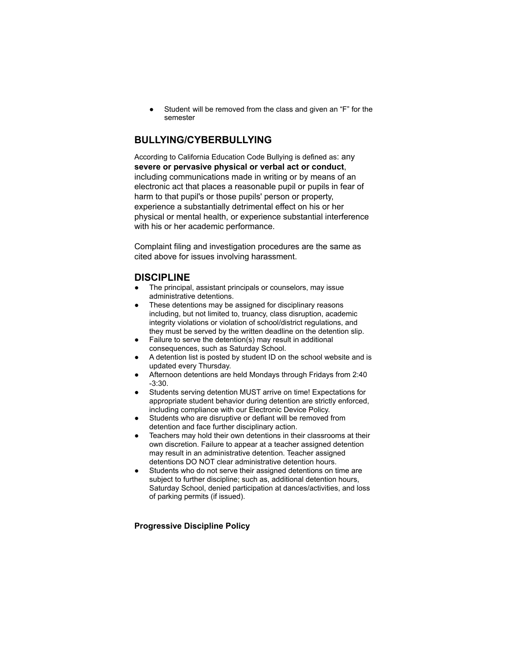Student will be removed from the class and given an "F" for the semester

## **BULLYING/CYBERBULLYING**

According to California Education Code Bullying is defined as: any **severe or pervasive physical or verbal act or conduct**, including communications made in writing or by means of an electronic act that places a reasonable pupil or pupils in fear of harm to that pupil's or those pupils' person or property, experience a substantially detrimental effect on his or her physical or mental health, or experience substantial interference with his or her academic performance.

Complaint filing and investigation procedures are the same as cited above for issues involving harassment.

## **DISCIPLINE**

- The principal, assistant principals or counselors, may issue administrative detentions.
- These detentions may be assigned for disciplinary reasons including, but not limited to, truancy, class disruption, academic integrity violations or violation of school/district regulations, and they must be served by the written deadline on the detention slip.
- Failure to serve the detention(s) may result in additional consequences, such as Saturday School.
- A detention list is posted by student ID on the school website and is updated every Thursday.
- Afternoon detentions are held Mondays through Fridays from 2:40 -3:30.
- Students serving detention MUST arrive on time! Expectations for appropriate student behavior during detention are strictly enforced, including compliance with our Electronic Device Policy.
- Students who are disruptive or defiant will be removed from detention and face further disciplinary action.
- Teachers may hold their own detentions in their classrooms at their own discretion. Failure to appear at a teacher assigned detention may result in an administrative detention. Teacher assigned detentions DO NOT clear administrative detention hours.
- Students who do not serve their assigned detentions on time are subject to further discipline; such as, additional detention hours, Saturday School, denied participation at dances/activities, and loss of parking permits (if issued).

#### **Progressive Discipline Policy**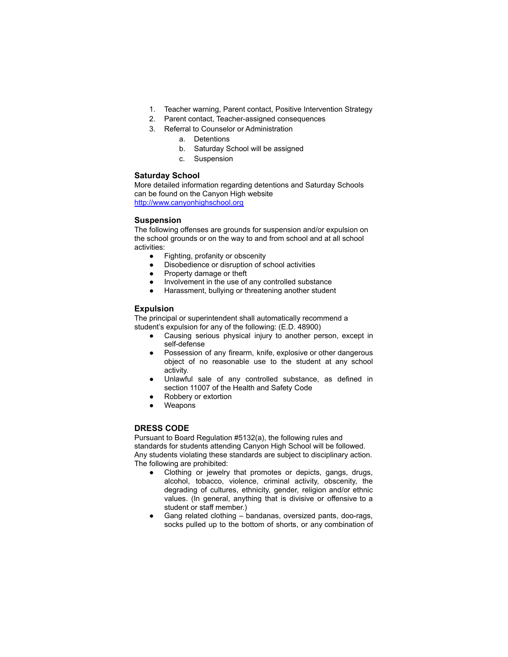- 1. Teacher warning, Parent contact, Positive Intervention Strategy
- 2. Parent contact, Teacher-assigned consequences
- 3. Referral to Counselor or Administration
	- a. Detentions
	- b. Saturday School will be assigned
	- c. Suspension

#### **Saturday School**

More detailed information regarding detentions and Saturday Schools can be found on the Canyon High website <http://www.canyonhighschool.org>

#### **Suspension**

The following offenses are grounds for suspension and/or expulsion on the school grounds or on the way to and from school and at all school activities:

- Fighting, profanity or obscenity
- Disobedience or disruption of school activities
- Property damage or theft
- Involvement in the use of any controlled substance
- Harassment, bullying or threatening another student

#### **Expulsion**

The principal or superintendent shall automatically recommend a student's expulsion for any of the following: (E.D. 48900)

- Causing serious physical injury to another person, except in self-defense
- Possession of any firearm, knife, explosive or other dangerous object of no reasonable use to the student at any school activity.
- Unlawful sale of any controlled substance, as defined in section 11007 of the Health and Safety Code
- Robbery or extortion
- Weapons

#### **DRESS CODE**

Pursuant to Board Regulation #5132(a), the following rules and standards for students attending Canyon High School will be followed. Any students violating these standards are subject to disciplinary action. The following are prohibited:

- Clothing or jewelry that promotes or depicts, gangs, drugs, alcohol, tobacco, violence, criminal activity, obscenity, the degrading of cultures, ethnicity, gender, religion and/or ethnic values. (In general, anything that is divisive or offensive to a student or staff member.)
- Gang related clothing bandanas, oversized pants, doo-rags, socks pulled up to the bottom of shorts, or any combination of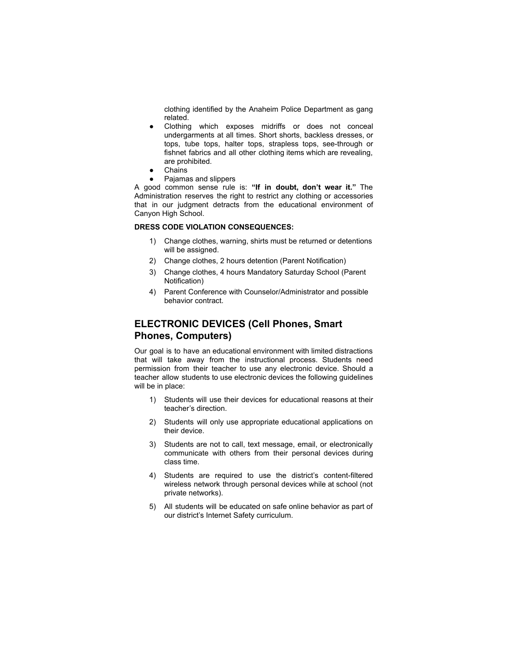clothing identified by the Anaheim Police Department as gang related.

- Clothing which exposes midriffs or does not conceal undergarments at all times. Short shorts, backless dresses, or tops, tube tops, halter tops, strapless tops, see-through or fishnet fabrics and all other clothing items which are revealing, are prohibited.
- **Chains**
- Pajamas and slippers

A good common sense rule is: **"If in doubt, don't wear it."** The Administration reserves the right to restrict any clothing or accessories that in our judgment detracts from the educational environment of Canyon High School.

#### **DRESS CODE VIOLATION CONSEQUENCES:**

- 1) Change clothes, warning, shirts must be returned or detentions will be assigned.
- 2) Change clothes, 2 hours detention (Parent Notification)
- 3) Change clothes, 4 hours Mandatory Saturday School (Parent Notification)
- 4) Parent Conference with Counselor/Administrator and possible behavior contract.

## **ELECTRONIC DEVICES (Cell Phones, Smart Phones, Computers)**

Our goal is to have an educational environment with limited distractions that will take away from the instructional process. Students need permission from their teacher to use any electronic device. Should a teacher allow students to use electronic devices the following guidelines will be in place:

- 1) Students will use their devices for educational reasons at their teacher's direction.
- 2) Students will only use appropriate educational applications on their device.
- 3) Students are not to call, text message, email, or electronically communicate with others from their personal devices during class time.
- 4) Students are required to use the district's content-filtered wireless network through personal devices while at school (not private networks).
- 5) All students will be educated on safe online behavior as part of our district's Internet Safety curriculum.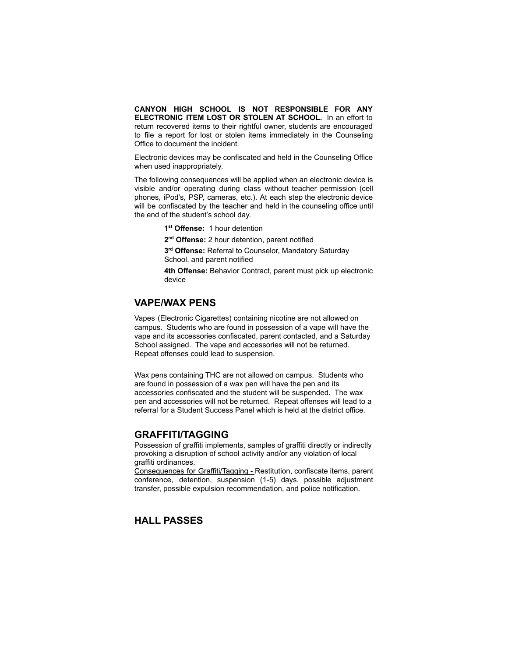**CANYON HIGH SCHOOL IS NOT RESPONSIBLE FOR ANY ELECTRONIC ITEM LOST OR STOLEN AT SCHOOL.** In an effort to return recovered items to their rightful owner, students are encouraged to file a report for lost or stolen items immediately in the Counseling Office to document the incident.

Electronic devices may be confiscated and held in the Counseling Office when used inappropriately.

The following consequences will be applied when an electronic device is visible and/or operating during class without teacher permission (cell phones, iPod's, PSP, cameras, etc.). At each step the electronic device will be confiscated by the teacher and held in the counseling office until the end of the student's school day.

**1 st Offense:** 1 hour detention

**2 nd Offense:** 2 hour detention, parent notified

**3 rd Offense:** Referral to Counselor, Mandatory Saturday School, and parent notified

**4th Offense:** Behavior Contract, parent must pick up electronic device

## **VAPE/WAX PENS**

Vapes (Electronic Cigarettes) containing nicotine are not allowed on campus. Students who are found in possession of a vape will have the vape and its accessories confiscated, parent contacted, and a Saturday School assigned. The vape and accessories will not be returned. Repeat offenses could lead to suspension.

Wax pens containing THC are not allowed on campus. Students who are found in possession of a wax pen will have the pen and its accessories confiscated and the student will be suspended. The wax pen and accessories will not be returned. Repeat offenses will lead to a referral for a Student Success Panel which is held at the district office.

## **GRAFFITI/TAGGING**

Possession of graffiti implements, samples of graffiti directly or indirectly provoking a disruption of school activity and/or any violation of local graffiti ordinances.

Consequences for Graffiti/Tagging - Restitution, confiscate items, parent conference, detention, suspension (1-5) days, possible adjustment transfer, possible expulsion recommendation, and police notification.

## **HALL PASSES**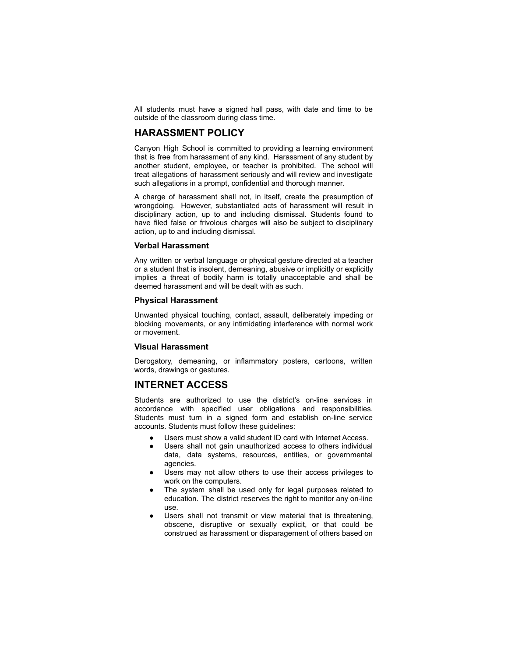All students must have a signed hall pass, with date and time to be outside of the classroom during class time.

## **HARASSMENT POLICY**

Canyon High School is committed to providing a learning environment that is free from harassment of any kind. Harassment of any student by another student, employee, or teacher is prohibited. The school will treat allegations of harassment seriously and will review and investigate such allegations in a prompt, confidential and thorough manner.

A charge of harassment shall not, in itself, create the presumption of wrongdoing. However, substantiated acts of harassment will result in disciplinary action, up to and including dismissal. Students found to have filed false or frivolous charges will also be subject to disciplinary action, up to and including dismissal.

#### **Verbal Harassment**

Any written or verbal language or physical gesture directed at a teacher or a student that is insolent, demeaning, abusive or implicitly or explicitly implies a threat of bodily harm is totally unacceptable and shall be deemed harassment and will be dealt with as such.

#### **Physical Harassment**

Unwanted physical touching, contact, assault, deliberately impeding or blocking movements, or any intimidating interference with normal work or movement.

#### **Visual Harassment**

Derogatory, demeaning, or inflammatory posters, cartoons, written words, drawings or gestures.

## **INTERNET ACCESS**

Students are authorized to use the district's on-line services in accordance with specified user obligations and responsibilities. Students must turn in a signed form and establish on-line service accounts. Students must follow these guidelines:

- Users must show a valid student ID card with Internet Access.
- Users shall not gain unauthorized access to others individual data, data systems, resources, entities, or governmental agencies.
- Users may not allow others to use their access privileges to work on the computers.
- The system shall be used only for legal purposes related to education. The district reserves the right to monitor any on-line use.
- Users shall not transmit or view material that is threatening, obscene, disruptive or sexually explicit, or that could be construed as harassment or disparagement of others based on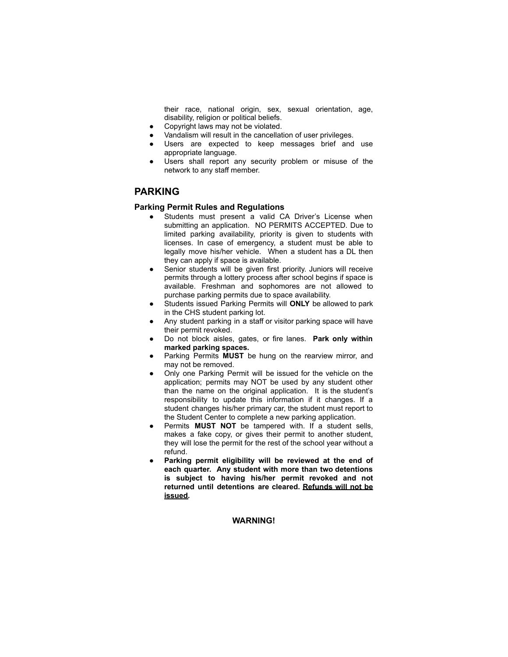their race, national origin, sex, sexual orientation, age, disability, religion or political beliefs.

- Copyright laws may not be violated.
- Vandalism will result in the cancellation of user privileges.
- Users are expected to keep messages brief and use appropriate language.
- Users shall report any security problem or misuse of the network to any staff member.

## **PARKING**

#### **Parking Permit Rules and Regulations**

- Students must present a valid CA Driver's License when submitting an application. NO PERMITS ACCEPTED. Due to limited parking availability, priority is given to students with licenses. In case of emergency, a student must be able to legally move his/her vehicle. When a student has a DL then they can apply if space is available.
- Senior students will be given first priority. Juniors will receive permits through a lottery process after school begins if space is available. Freshman and sophomores are not allowed to purchase parking permits due to space availability.
- Students issued Parking Permits will **ONLY** be allowed to park in the CHS student parking lot.
- Any student parking in a staff or visitor parking space will have their permit revoked.
- Do not block aisles, gates, or fire lanes. **Park only within marked parking spaces.**
- Parking Permits MUST be hung on the rearview mirror, and may not be removed.
- Only one Parking Permit will be issued for the vehicle on the application; permits may NOT be used by any student other than the name on the original application. It is the student's responsibility to update this information if it changes. If a student changes his/her primary car, the student must report to the Student Center to complete a new parking application.
- Permits **MUST NOT** be tampered with. If a student sells, makes a fake copy, or gives their permit to another student, they will lose the permit for the rest of the school year without a refund.
- **● Parking permit eligibility will be reviewed at the end of each quarter. Any student with more than two detentions is subject to having his/her permit revoked and not returned until detentions are cleared. Refunds will not be issued.**

#### **WARNING!**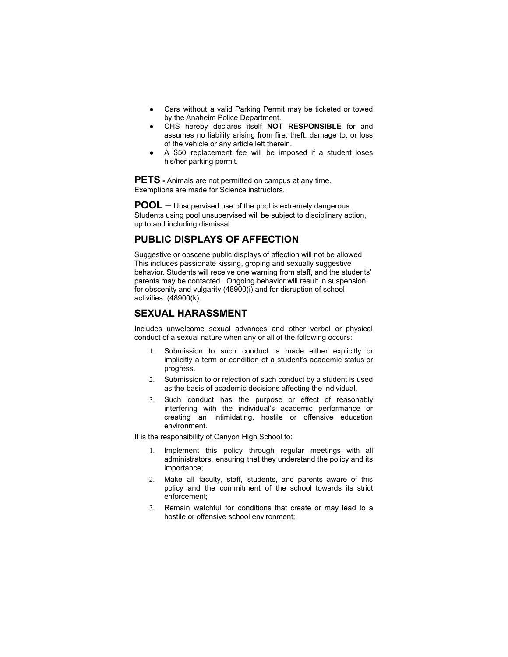- Cars without a valid Parking Permit may be ticketed or towed by the Anaheim Police Department.
- CHS hereby declares itself **NOT RESPONSIBLE** for and assumes no liability arising from fire, theft, damage to, or loss of the vehicle or any article left therein.
- A \$50 replacement fee will be imposed if a student loses his/her parking permit.

**PETS -** Animals are not permitted on campus at any time. Exemptions are made for Science instructors.

**POOL** – Unsupervised use of the pool is extremely dangerous. Students using pool unsupervised will be subject to disciplinary action, up to and including dismissal.

## **PUBLIC DISPLAYS OF AFFECTION**

Suggestive or obscene public displays of affection will not be allowed. This includes passionate kissing, groping and sexually suggestive behavior. Students will receive one warning from staff, and the students' parents may be contacted. Ongoing behavior will result in suspension for obscenity and vulgarity (48900(i) and for disruption of school activities. (48900(k).

## **SEXUAL HARASSMENT**

Includes unwelcome sexual advances and other verbal or physical conduct of a sexual nature when any or all of the following occurs:

- 1. Submission to such conduct is made either explicitly or implicitly a term or condition of a student's academic status or progress.
- 2. Submission to or rejection of such conduct by a student is used as the basis of academic decisions affecting the individual.
- 3. Such conduct has the purpose or effect of reasonably interfering with the individual's academic performance or creating an intimidating, hostile or offensive education environment.

It is the responsibility of Canyon High School to:

- 1. Implement this policy through regular meetings with all administrators, ensuring that they understand the policy and its importance;
- 2. Make all faculty, staff, students, and parents aware of this policy and the commitment of the school towards its strict enforcement;
- 3. Remain watchful for conditions that create or may lead to a hostile or offensive school environment;